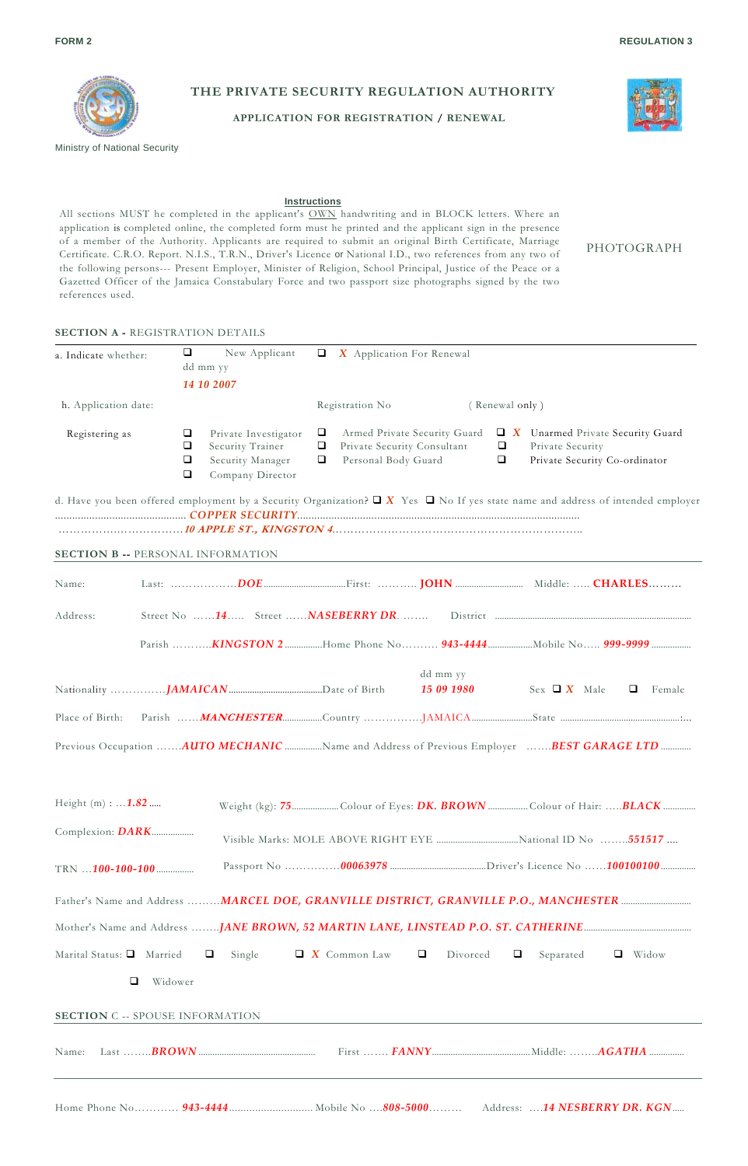

Ministry of National Security

**THE PRIVATE SECURITY REGULATION AUTHORITY** 

**APPLICATION FOR REGISTRATION / RENEWAL** 



PHOTOGRAPH

## **Instructions**

All sections MUST he completed in the applicant's OWN handwriting and in BLOCK letters. Where an application is completed online, the completed form must he printed and the applicant sign in the presence of a member of the Authority. Applicants are required to submit an original Birth Certificate, Marriage Certificate. C.R.O. Report. N.I.S., T.R.N., Driver's Licence or National I.D., two references from any two of the following persons--- Present Employer, Minister of Religion, School Principal, Justice of the Peace or a Gazetted Officer of the Jamaica Constabulary Force and two passport size photographs signed by the two references used.

## **SECTION A -** REGISTRATION DETAILS

| a. Indicate whether:                   | $\Box$<br>New Applicant                                                                                             | $\Box$ X Application For Renewal                                                                                                                                                                                                |        |
|----------------------------------------|---------------------------------------------------------------------------------------------------------------------|---------------------------------------------------------------------------------------------------------------------------------------------------------------------------------------------------------------------------------|--------|
|                                        | dd mm yy<br>14 10 2007                                                                                              |                                                                                                                                                                                                                                 |        |
| h. Application date:                   |                                                                                                                     | Registration No<br>(Renewal only)                                                                                                                                                                                               |        |
| Registering as                         | $\Box$<br>Private Investigator<br>O<br>Security Trainer<br>$\Box$<br>Security Manager<br>$\Box$<br>Company Director | □<br>Armed Private Security Guard<br>$\Box$ X Unarmed Private Security Guard<br>$\Box$<br>$\Box$<br>Private Security Consultant<br>Private Security<br>$\Box$<br>$\Box$<br>Personal Body Guard<br>Private Security Co-ordinator |        |
|                                        | <b>SECTION B -- PERSONAL INFORMATION</b>                                                                            | d. Have you been offered employment by a Security Organization? $\Box X$ Yes $\Box$ No If yes state name and address of intended employer                                                                                       |        |
| Name:                                  |                                                                                                                     |                                                                                                                                                                                                                                 |        |
| Address:                               | Street No 14 Street  NASEBERRY DR.                                                                                  |                                                                                                                                                                                                                                 |        |
|                                        |                                                                                                                     |                                                                                                                                                                                                                                 |        |
|                                        |                                                                                                                     | dd mm yy<br>15 09 1980<br>Sex $\Box X$ Male<br>$\Box$                                                                                                                                                                           | Female |
| Place of Birth:                        |                                                                                                                     |                                                                                                                                                                                                                                 |        |
|                                        |                                                                                                                     | Previous Occupation AUTO MECHANIC Name and Address of Previous Employer BEST GARAGE LTD                                                                                                                                         |        |
| Height $(m) :  1.82$                   |                                                                                                                     | Weight (kg): 75Colour of Eyes: DK. BROWN Colour of Hair: BLACK                                                                                                                                                                  |        |
| Complexion: DARK                       |                                                                                                                     |                                                                                                                                                                                                                                 |        |
| TRN <b>100-100-100</b>                 |                                                                                                                     |                                                                                                                                                                                                                                 |        |
|                                        |                                                                                                                     |                                                                                                                                                                                                                                 |        |
|                                        |                                                                                                                     |                                                                                                                                                                                                                                 |        |
| Marital Status: Q Married              | Single<br>o                                                                                                         | $\Box$ X Common Law<br>$\Box$<br>Divorced<br>□<br>Separated<br>$\Box$ Widow                                                                                                                                                     |        |
| □                                      | Widower                                                                                                             |                                                                                                                                                                                                                                 |        |
| <b>SECTION C -- SPOUSE INFORMATION</b> |                                                                                                                     |                                                                                                                                                                                                                                 |        |
| Name:                                  | $Last \dots BROWN \dots$                                                                                            |                                                                                                                                                                                                                                 |        |
|                                        |                                                                                                                     |                                                                                                                                                                                                                                 |        |